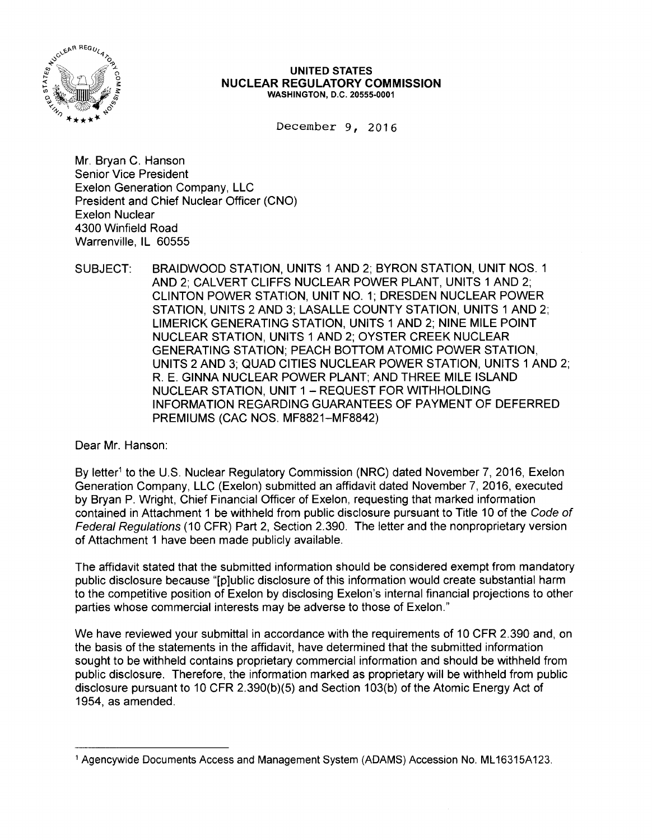

## **UNITED STATES NUCLEAR REGULATORY COMMISSION**  WASHINGTON, D.C. 20555-0001

December 9, 2016

Mr. Bryan C. Hanson Senior Vice President Exelon Generation Company, LLC President and Chief Nuclear Officer (CNO) Exelon Nuclear 4300 Winfield Road Warrenville, IL 60555

SUBJECT: BRAIDWOOD STATION, UNITS 1 AND 2; BYRON STATION, UNIT NOS. 1 AND 2; CALVERT CLIFFS NUCLEAR POWER PLANT, UNITS 1 AND 2; CLINTON POWER STATION, UNIT NO. 1; DRESDEN NUCLEAR POWER STATION, UNITS 2 AND 3; LASALLE COUNTY STATION, UNITS 1 AND 2; LIMERICK GENERATING STATION, UNITS 1 AND 2; NINE MILE POINT NUCLEAR STATION, UNITS 1 AND 2; OYSTER CREEK NUCLEAR GENERATING STATION; PEACH BOTTOM ATOMIC POWER STATION, UNITS 2 AND 3; QUAD CITIES NUCLEAR POWER STATION, UNITS 1 AND 2; R. E. GINNA NUCLEAR POWER PLANT; AND THREE MILE ISLAND NUCLEAR STATION, UNIT 1 - REQUEST FOR WITHHOLDING INFORMATION REGARDING GUARANTEES OF PAYMENT OF DEFERRED PREMIUMS (CAC NOS. MF8821-MF8842)

Dear Mr. Hanson:

By letter<sup>1</sup> to the U.S. Nuclear Regulatory Commission (NRC) dated November 7, 2016, Exelon Generation Company, LLC (Exelon) submitted an affidavit dated November 7, 2016, executed by Bryan P. Wright, Chief Financial Officer of Exelon, requesting that marked information contained in Attachment 1 be withheld from public disclosure pursuant to Title 10 of the Code of Federal Regulations (10 CFR) Part 2, Section 2.390. The letter and the nonproprietary version of Attachment 1 have been made publicly available.

The affidavit stated that the submitted information should be considered exempt from mandatory public disclosure because "[p]ublic disclosure of this information would create substantial harm to the competitive position of Exelon by disclosing Exelon's internal financial projections to other parties whose commercial interests may be adverse to those of Exelon."

We have reviewed your submittal in accordance with the requirements of 10 CFR 2.390 and, on the basis of the statements in the affidavit, have determined that the submitted information sought to be withheld contains proprietary commercial information and should be withheld from public disclosure. Therefore, the information marked as proprietary will be withheld from public disclosure pursuant to 10 CFR 2.390(b)(5) and Section 103(b) of the Atomic Energy Act of 1954, as amended.

<sup>1</sup> Agencywide Documents Access and Management System (ADAMS) Accession No. ML 16315A123.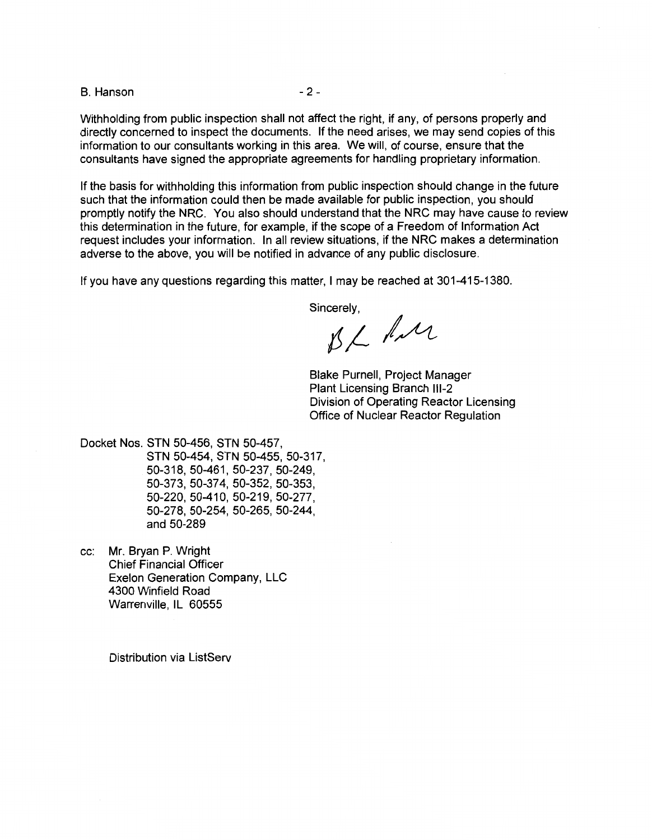B. Hanson - 2 -

Withholding from public inspection shall not affect the right, if any, of persons properly and directly concerned to inspect the documents. If the need arises, we may send copies of this information to our consultants working in this area. We will, of course, ensure that the consultants have signed the appropriate agreements for handling proprietary information.

If the basis for withholding this information from public inspection should change in the future such that the information could then be made available for public inspection, you should promptly notify the NRC. You also should understand that the NRC may have cause to review this determination in the future, for example, if the scope of a Freedom of Information Act request includes your information. In all review situations, if the NRC makes a determination adverse to the above, you will be notified in advance of any public disclosure.

If you have any questions regarding this matter, I may be reached at 301-415-1380.

Sincerely,

 $BL$  for

Blake Purnell, Project Manager Plant Licensing Branch 111-2 Division of Operating Reactor Licensing Office of Nuclear Reactor Regulation

Docket Nos. STN 50-456, STN 50-457, STN 50-454, STN 50-455, 50-317, 50-318, 50-461, 50-237, 50-249, 50-373, 50-37 4, 50-352, 50-353, 50-220, 50-410, 50-219, 50-277, 50-278, 50-254, 50-265, 50-244, and 50-289

cc: Mr. Bryan P. Wright Chief Financial Officer Exelon Generation Company, LLC 4300 Winfield Road Warrenville, IL 60555

Distribution via ListServ